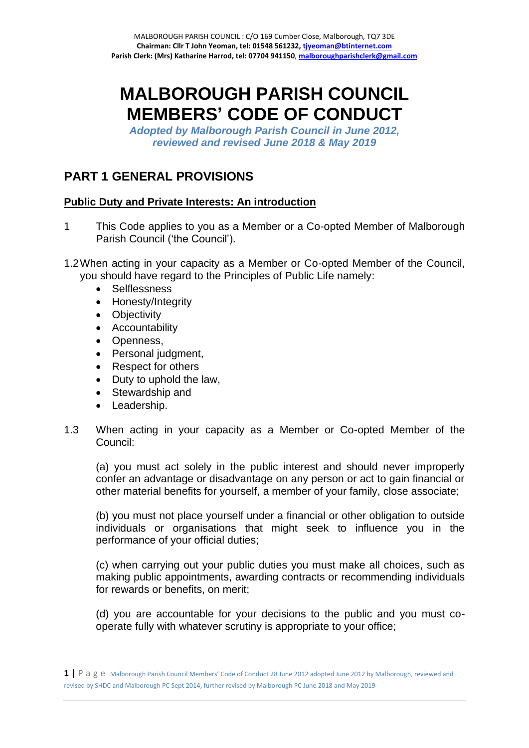# **MALBOROUGH PARISH COUNCIL MEMBERS' CODE OF CONDUCT**

*Adopted by Malborough Parish Council in June 2012, reviewed and revised June 2018 & May 2019*

# **PART 1 GENERAL PROVISIONS**

# **Public Duty and Private Interests: An introduction**

- 1 This Code applies to you as a Member or a Co-opted Member of Malborough Parish Council ('the Council').
- 1.2When acting in your capacity as a Member or Co-opted Member of the Council, you should have regard to the Principles of Public Life namely:
	- Selflessness
	- Honesty/Integrity
	- Objectivity
	- Accountability
	- Openness,
	- Personal judgment.
	- Respect for others
	- Duty to uphold the law,
	- Stewardship and
	- Leadership.
- 1.3 When acting in your capacity as a Member or Co-opted Member of the Council:

(a) you must act solely in the public interest and should never improperly confer an advantage or disadvantage on any person or act to gain financial or other material benefits for yourself, a member of your family, close associate;

(b) you must not place yourself under a financial or other obligation to outside individuals or organisations that might seek to influence you in the performance of your official duties;

(c) when carrying out your public duties you must make all choices, such as making public appointments, awarding contracts or recommending individuals for rewards or benefits, on merit;

(d) you are accountable for your decisions to the public and you must cooperate fully with whatever scrutiny is appropriate to your office;

**1 |** P a g e Malborough Parish Council Members' Code of Conduct 28 June 2012 adopted June 2012 by Malborough, reviewed and revised by SHDC and Malborough PC Sept 2014, further revised by Malborough PC June 2018 and May 2019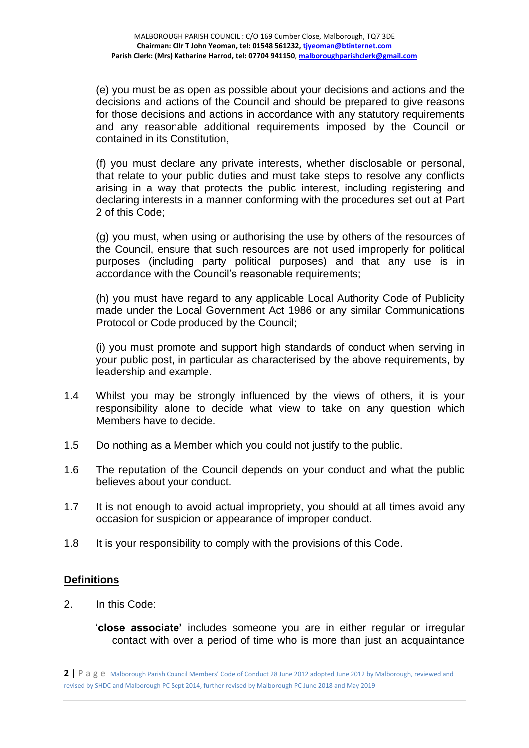(e) you must be as open as possible about your decisions and actions and the decisions and actions of the Council and should be prepared to give reasons for those decisions and actions in accordance with any statutory requirements and any reasonable additional requirements imposed by the Council or contained in its Constitution,

(f) you must declare any private interests, whether disclosable or personal, that relate to your public duties and must take steps to resolve any conflicts arising in a way that protects the public interest, including registering and declaring interests in a manner conforming with the procedures set out at Part 2 of this Code;

(g) you must, when using or authorising the use by others of the resources of the Council, ensure that such resources are not used improperly for political purposes (including party political purposes) and that any use is in accordance with the Council's reasonable requirements;

(h) you must have regard to any applicable Local Authority Code of Publicity made under the Local Government Act 1986 or any similar Communications Protocol or Code produced by the Council;

(i) you must promote and support high standards of conduct when serving in your public post, in particular as characterised by the above requirements, by leadership and example.

- 1.4 Whilst you may be strongly influenced by the views of others, it is your responsibility alone to decide what view to take on any question which Members have to decide.
- 1.5 Do nothing as a Member which you could not justify to the public.
- 1.6 The reputation of the Council depends on your conduct and what the public believes about your conduct.
- 1.7 It is not enough to avoid actual impropriety, you should at all times avoid any occasion for suspicion or appearance of improper conduct.
- 1.8 It is your responsibility to comply with the provisions of this Code.

# **Definitions**

2. In this Code:

'**close associate'** includes someone you are in either regular or irregular contact with over a period of time who is more than just an acquaintance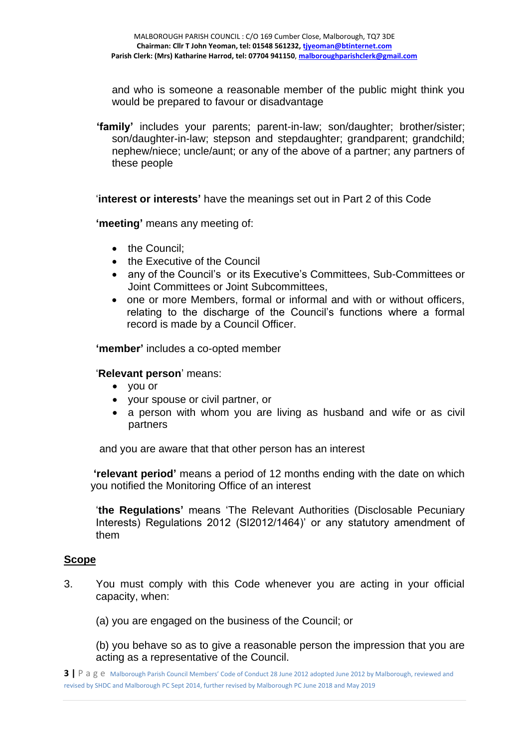and who is someone a reasonable member of the public might think you would be prepared to favour or disadvantage

 **'family'** includes your parents; parent-in-law; son/daughter; brother/sister; son/daughter-in-law; stepson and stepdaughter; grandparent; grandchild; nephew/niece; uncle/aunt; or any of the above of a partner; any partners of these people

'**interest or interests'** have the meanings set out in Part 2 of this Code

**'meeting'** means any meeting of:

- the Council:
- the Executive of the Council
- any of the Council's or its Executive's Committees, Sub-Committees or Joint Committees or Joint Subcommittees,
- one or more Members, formal or informal and with or without officers, relating to the discharge of the Council's functions where a formal record is made by a Council Officer.

**'member'** includes a co-opted member

#### '**Relevant person**' means:

- you or
- your spouse or civil partner, or
- a person with whom you are living as husband and wife or as civil partners

and you are aware that that other person has an interest

**'relevant period'** means a period of 12 months ending with the date on which you notified the Monitoring Office of an interest

'**the Regulations'** means 'The Relevant Authorities (Disclosable Pecuniary Interests) Regulations 2012 (SI2012/1464)' or any statutory amendment of them

#### **Scope**

- 3. You must comply with this Code whenever you are acting in your official capacity, when:
	- (a) you are engaged on the business of the Council; or

(b) you behave so as to give a reasonable person the impression that you are acting as a representative of the Council.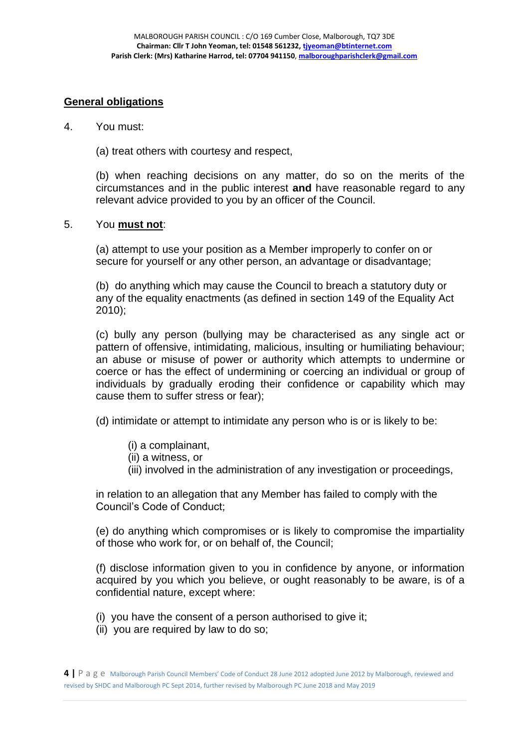# **General obligations**

#### 4. You must:

(a) treat others with courtesy and respect,

(b) when reaching decisions on any matter, do so on the merits of the circumstances and in the public interest **and** have reasonable regard to any relevant advice provided to you by an officer of the Council.

#### 5. You **must not**:

(a) attempt to use your position as a Member improperly to confer on or secure for yourself or any other person, an advantage or disadvantage;

(b) do anything which may cause the Council to breach a statutory duty or any of the equality enactments (as defined in section 149 of the Equality Act 2010);

(c) bully any person (bullying may be characterised as any single act or pattern of offensive, intimidating, malicious, insulting or humiliating behaviour; an abuse or misuse of power or authority which attempts to undermine or coerce or has the effect of undermining or coercing an individual or group of individuals by gradually eroding their confidence or capability which may cause them to suffer stress or fear);

(d) intimidate or attempt to intimidate any person who is or is likely to be:

- (i) a complainant,
- (ii) a witness, or
- (iii) involved in the administration of any investigation or proceedings,

in relation to an allegation that any Member has failed to comply with the Council's Code of Conduct;

(e) do anything which compromises or is likely to compromise the impartiality of those who work for, or on behalf of, the Council;

(f) disclose information given to you in confidence by anyone, or information acquired by you which you believe, or ought reasonably to be aware, is of a confidential nature, except where:

- (i) you have the consent of a person authorised to give it;
- (ii) you are required by law to do so;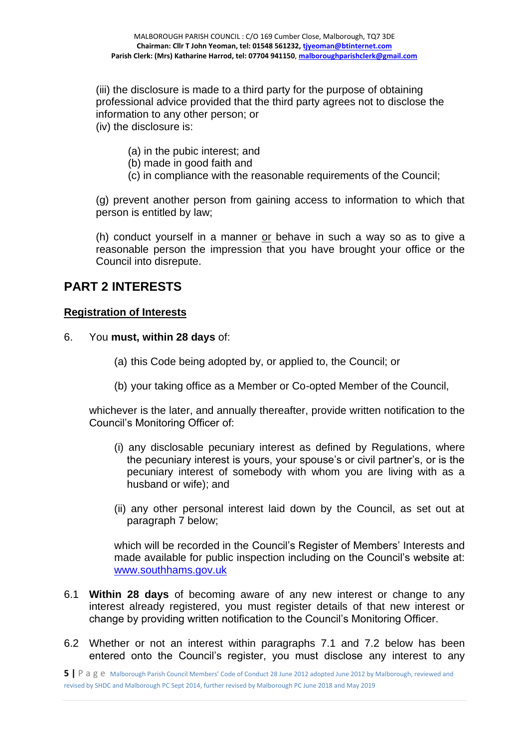(iii) the disclosure is made to a third party for the purpose of obtaining professional advice provided that the third party agrees not to disclose the information to any other person; or (iv) the disclosure is:

(a) in the pubic interest; and

- (b) made in good faith and
- (c) in compliance with the reasonable requirements of the Council;

(g) prevent another person from gaining access to information to which that person is entitled by law;

(h) conduct yourself in a manner or behave in such a way so as to give a reasonable person the impression that you have brought your office or the Council into disrepute.

# **PART 2 INTERESTS**

#### **Registration of Interests**

- 6. You **must, within 28 days** of:
	- (a) this Code being adopted by, or applied to, the Council; or
	- (b) your taking office as a Member or Co-opted Member of the Council,

whichever is the later, and annually thereafter, provide written notification to the Council's Monitoring Officer of:

- (i) any disclosable pecuniary interest as defined by Regulations, where the pecuniary interest is yours, your spouse's or civil partner's, or is the pecuniary interest of somebody with whom you are living with as a husband or wife); and
- (ii) any other personal interest laid down by the Council, as set out at paragraph 7 below;

which will be recorded in the Council's Register of Members' Interests and made available for public inspection including on the Council's website at: [www.southhams.gov.uk](http://www.southhams.gov.uk/)

- 6.1 **Within 28 days** of becoming aware of any new interest or change to any interest already registered, you must register details of that new interest or change by providing written notification to the Council's Monitoring Officer.
- 6.2 Whether or not an interest within paragraphs 7.1 and 7.2 below has been entered onto the Council's register, you must disclose any interest to any

**<sup>5</sup> |** P a g e Malborough Parish Council Members' Code of Conduct 28 June 2012 adopted June 2012 by Malborough, reviewed and revised by SHDC and Malborough PC Sept 2014, further revised by Malborough PC June 2018 and May 2019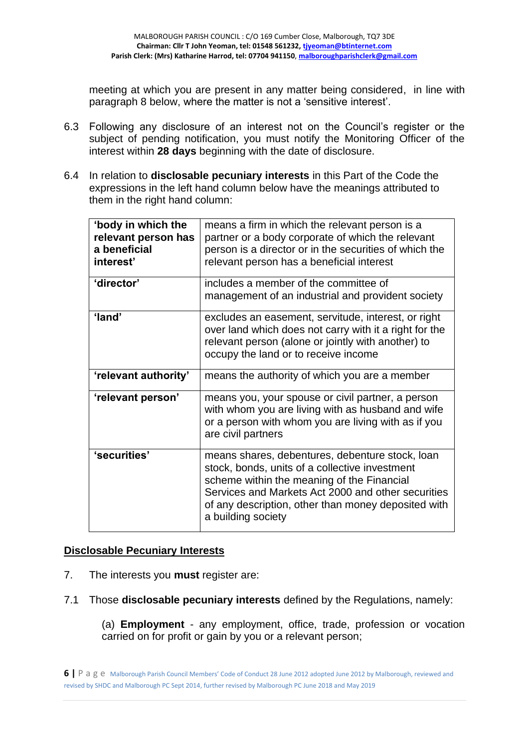meeting at which you are present in any matter being considered, in line with paragraph 8 below, where the matter is not a 'sensitive interest'.

- 6.3 Following any disclosure of an interest not on the Council's register or the subject of pending notification, you must notify the Monitoring Officer of the interest within **28 days** beginning with the date of disclosure.
- 6.4 In relation to **disclosable pecuniary interests** in this Part of the Code the expressions in the left hand column below have the meanings attributed to them in the right hand column:

| 'body in which the<br>relevant person has<br>a beneficial<br>interest' | means a firm in which the relevant person is a<br>partner or a body corporate of which the relevant<br>person is a director or in the securities of which the<br>relevant person has a beneficial interest                                                                         |
|------------------------------------------------------------------------|------------------------------------------------------------------------------------------------------------------------------------------------------------------------------------------------------------------------------------------------------------------------------------|
| 'director'                                                             | includes a member of the committee of<br>management of an industrial and provident society                                                                                                                                                                                         |
| 'land'                                                                 | excludes an easement, servitude, interest, or right<br>over land which does not carry with it a right for the<br>relevant person (alone or jointly with another) to<br>occupy the land or to receive income                                                                        |
| 'relevant authority'                                                   | means the authority of which you are a member                                                                                                                                                                                                                                      |
| 'relevant person'                                                      | means you, your spouse or civil partner, a person<br>with whom you are living with as husband and wife<br>or a person with whom you are living with as if you<br>are civil partners                                                                                                |
| 'securities'                                                           | means shares, debentures, debenture stock, loan<br>stock, bonds, units of a collective investment<br>scheme within the meaning of the Financial<br>Services and Markets Act 2000 and other securities<br>of any description, other than money deposited with<br>a building society |

# **Disclosable Pecuniary Interests**

- 7. The interests you **must** register are:
- 7.1 Those **disclosable pecuniary interests** defined by the Regulations, namely:

(a) **Employment** - any employment, office, trade, profession or vocation carried on for profit or gain by you or a relevant person;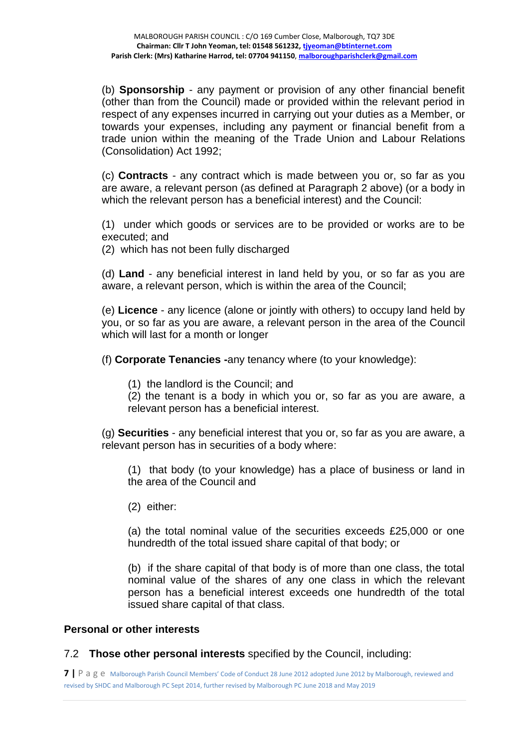(b) **Sponsorship** - any payment or provision of any other financial benefit (other than from the Council) made or provided within the relevant period in respect of any expenses incurred in carrying out your duties as a Member, or towards your expenses, including any payment or financial benefit from a trade union within the meaning of the Trade Union and Labour Relations (Consolidation) Act 1992;

(c) **Contracts** - any contract which is made between you or, so far as you are aware, a relevant person (as defined at Paragraph 2 above) (or a body in which the relevant person has a beneficial interest) and the Council:

(1) under which goods or services are to be provided or works are to be executed; and

(2) which has not been fully discharged

(d) **Land** - any beneficial interest in land held by you, or so far as you are aware, a relevant person, which is within the area of the Council;

(e) **Licence** - any licence (alone or jointly with others) to occupy land held by you, or so far as you are aware, a relevant person in the area of the Council which will last for a month or longer

(f) **Corporate Tenancies -**any tenancy where (to your knowledge):

(1) the landlord is the Council; and

(2) the tenant is a body in which you or, so far as you are aware, a relevant person has a beneficial interest.

(g) **Securities** - any beneficial interest that you or, so far as you are aware, a relevant person has in securities of a body where:

(1) that body (to your knowledge) has a place of business or land in the area of the Council and

(2) either:

(a) the total nominal value of the securities exceeds £25,000 or one hundredth of the total issued share capital of that body; or

(b) if the share capital of that body is of more than one class, the total nominal value of the shares of any one class in which the relevant person has a beneficial interest exceeds one hundredth of the total issued share capital of that class.

# **Personal or other interests**

7.2 **Those other personal interests** specified by the Council, including:

**7 |** P a g e Malborough Parish Council Members' Code of Conduct 28 June 2012 adopted June 2012 by Malborough, reviewed and revised by SHDC and Malborough PC Sept 2014, further revised by Malborough PC June 2018 and May 2019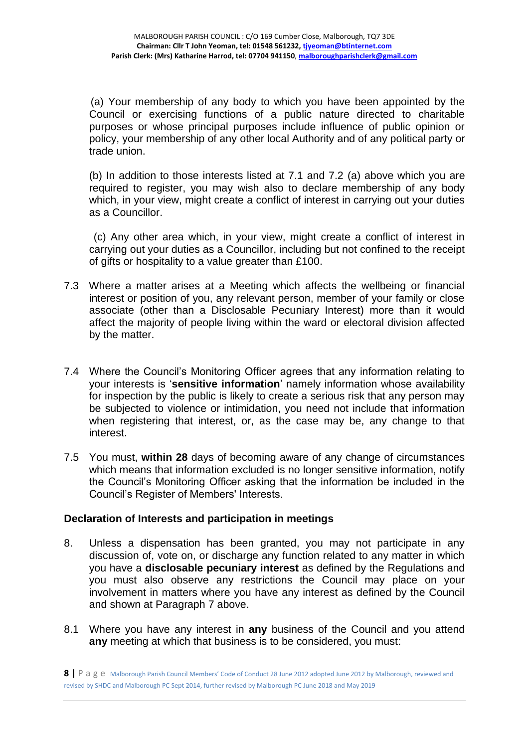(a) Your membership of any body to which you have been appointed by the Council or exercising functions of a public nature directed to charitable purposes or whose principal purposes include influence of public opinion or policy, your membership of any other local Authority and of any political party or trade union.

(b) In addition to those interests listed at 7.1 and 7.2 (a) above which you are required to register, you may wish also to declare membership of any body which, in your view, might create a conflict of interest in carrying out your duties as a Councillor.

 (c) Any other area which, in your view, might create a conflict of interest in carrying out your duties as a Councillor, including but not confined to the receipt of gifts or hospitality to a value greater than £100.

- 7.3 Where a matter arises at a Meeting which affects the wellbeing or financial interest or position of you, any relevant person, member of your family or close associate (other than a Disclosable Pecuniary Interest) more than it would affect the majority of people living within the ward or electoral division affected by the matter.
- 7.4 Where the Council's Monitoring Officer agrees that any information relating to your interests is '**sensitive information**' namely information whose availability for inspection by the public is likely to create a serious risk that any person may be subjected to violence or intimidation, you need not include that information when registering that interest, or, as the case may be, any change to that interest.
- 7.5 You must, **within 28** days of becoming aware of any change of circumstances which means that information excluded is no longer sensitive information, notify the Council's Monitoring Officer asking that the information be included in the Council's Register of Members' Interests.

# **Declaration of Interests and participation in meetings**

- 8. Unless a dispensation has been granted, you may not participate in any discussion of, vote on, or discharge any function related to any matter in which you have a **disclosable pecuniary interest** as defined by the Regulations and you must also observe any restrictions the Council may place on your involvement in matters where you have any interest as defined by the Council and shown at Paragraph 7 above.
- 8.1 Where you have any interest in **any** business of the Council and you attend **any** meeting at which that business is to be considered, you must:

**<sup>8</sup> |** P a g e Malborough Parish Council Members' Code of Conduct 28 June 2012 adopted June 2012 by Malborough, reviewed and revised by SHDC and Malborough PC Sept 2014, further revised by Malborough PC June 2018 and May 2019